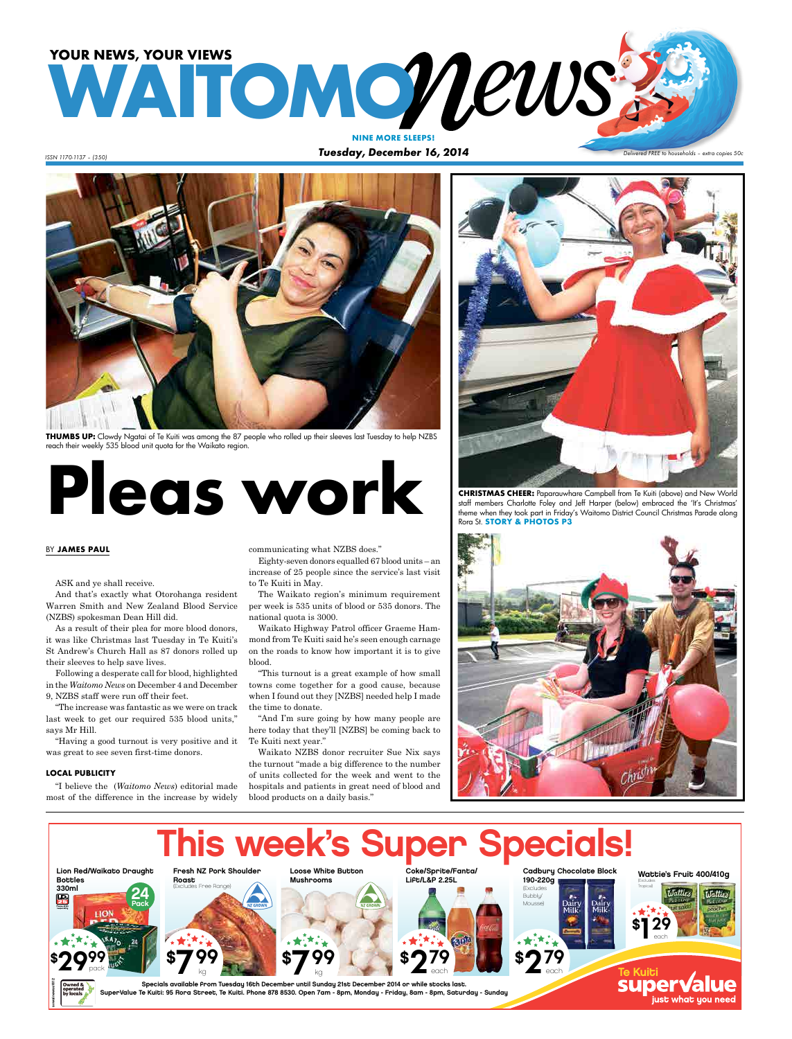# **WATOMONEWS NINE MORE SLEEPS!**

*ISSN 1170-1137 – (350) Tuesday, December 16, 2014*

### *Delivered FREE to households – extra copies 50c*



**THUMBS UP:** Clowdy Ngatai of Te Kuiti was among the 87 people who rolled up their sleeves last Tuesday to help NZBS reach their weekly 535 blood unit quota for the Waikato region.

# **CHRISTMAS CHEER:** Paparauwhare Campbell from Te Kuiti (above) and New World<br>staff members Charlotte Foley and Jeff Harper (below) embraced the "It's Christmas"<br>theme when they took part in Firdey's Waitomo District Counci

### BY **JAMES PAUL**

ASK and ye shall receive.

And that's exactly what Otorohanga resident Warren Smith and New Zealand Blood Service (NZBS) spokesman Dean Hill did.

As a result of their plea for more blood donors, it was like Christmas last Tuesday in Te Kuiti's St Andrew's Church Hall as 87 donors rolled up their sleeves to help save lives.

Following a desperate call for blood, highlighted in the *Waitomo News* on December 4 and December 9, NZBS staff were run off their feet.

"The increase was fantastic as we were on track last week to get our required 535 blood units," says Mr Hill.

"Having a good turnout is very positive and it was great to see seven first-time donors.

### **LOCAL PUBLICITY**

"I believe the (*Waitomo News*) editorial made most of the difference in the increase by widely

communicating what NZBS does."

Eighty-seven donors equalled 67 blood units – an increase of 25 people since the service's last visit to Te Kuiti in May.

The Waikato region's minimum requirement per week is 535 units of blood or 535 donors. The national quota is 3000.

Waikato Highway Patrol officer Graeme Hammond from Te Kuiti said he's seen enough carnage on the roads to know how important it is to give blood.

"This turnout is a great example of how small towns come together for a good cause, because when I found out they [NZBS] needed help I made the time to donate.

"And I'm sure going by how many people are here today that they'll [NZBS] be coming back to Te Kuiti next year."

Waikato NZBS donor recruiter Sue Nix says the turnout "made a big difference to the number of units collected for the week and went to the hospitals and patients in great need of blood and blood products on a daily basis."



staff members Charlotte Foley and Jeff Harper (below) embraced the 'It's Christmas' theme when they took part in Friday's Waitomo District Council Christmas Parade along Rora St. **STORY & PHOTOS P3**



just what uou need

#### This week's Super Specials! Coke/Sprite/Fanta/ Cadbury Chocolate Block Lion Red/Waikato Draught Loose White Button Fresh NZ Pork Shoulder Wattie's Fruit 400/410g Lift/L&P 2.25L 190-220g Bottles Mushrooms Roast (Excludes es Free Range 330ml Tropical) (Exclude 24 **Watties Llattica** Bubbly/ 喦 Mousse) Pack Dairy<br>Milk Dair)<br>Milk \$¶ 29 each \$7<sup>99</sup> **\$799** \$**279**  $\mathbf{52}^{79}$ \$**279** \$29‰ pack each each Te Kuit<del>.</del> kg kg each svwainewss1612 Specials available from Tuesday 16th December until Sunday 21st December 2014 or while stocks last. SuperValue Te Kuiti: 95 Rora Street, Te Kuiti. Phone 878 8530. Open 7am - 8pm, Monday - Friday, 8am - 8pm, Saturday - Sunday